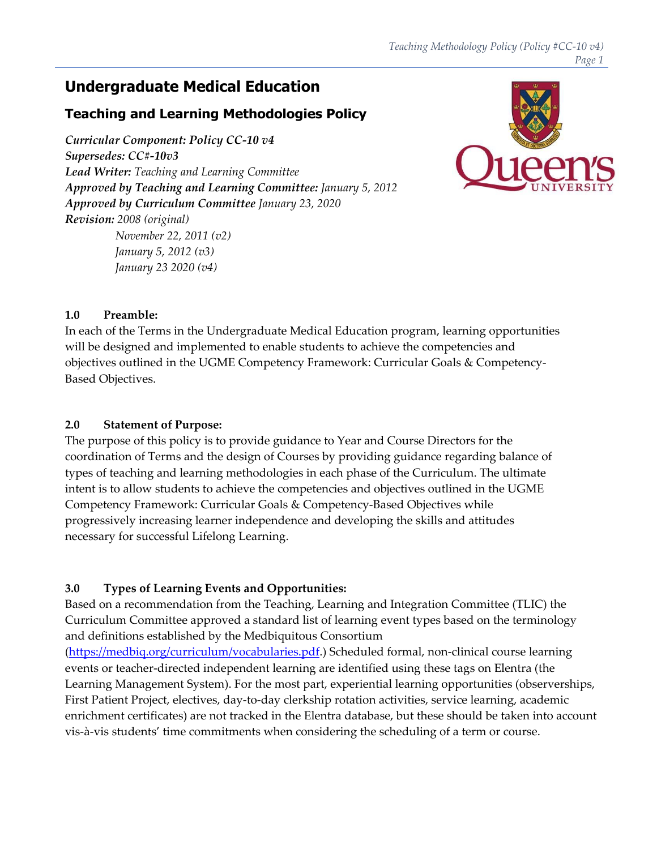# **Undergraduate Medical Education**

## **Teaching and Learning Methodologies Policy**

*Curricular Component: Policy CC‐10 v4 Supersedes: CC#‐10v3 Lead Writer: Teaching and Learning Committee Approved by Teaching and Learning Committee: January 5, 2012 Approved by Curriculum Committee January 23, 2020 Revision: 2008 (original) November 22, 2011 (v2) January 5, 2012 (v3)*



## **1.0 Preamble:**

In each of the Terms in the Undergraduate Medical Education program, learning opportunities will be designed and implemented to enable students to achieve the competencies and objectives outlined in the UGME Competency Framework: Curricular Goals & Competency‐ Based Objectives.

### **2.0 Statement of Purpose:**

*January 23 2020 (v4)*

The purpose of this policy is to provide guidance to Year and Course Directors for the coordination of Terms and the design of Courses by providing guidance regarding balance of types of teaching and learning methodologies in each phase of the Curriculum. The ultimate intent is to allow students to achieve the competencies and objectives outlined in the UGME Competency Framework: Curricular Goals & Competency‐Based Objectives while progressively increasing learner independence and developing the skills and attitudes necessary for successful Lifelong Learning.

## **3.0 Types of Learning Events and Opportunities:**

Based on a recommendation from the Teaching, Learning and Integration Committee (TLIC) the Curriculum Committee approved a standard list of learning event types based on the terminology and definitions established by the Medbiquitous Consortium

(https://medbiq.org/curriculum/vocabularies.pdf.) Scheduled formal, non‐clinical course learning events or teacher-directed independent learning are identified using these tags on Elentra (the Learning Management System). For the most part, experiential learning opportunities (observerships, First Patient Project, electives, day-to-day clerkship rotation activities, service learning, academic enrichment certificates) are not tracked in the Elentra database, but these should be taken into account vis‐à‐vis students' time commitments when considering the scheduling of a term or course.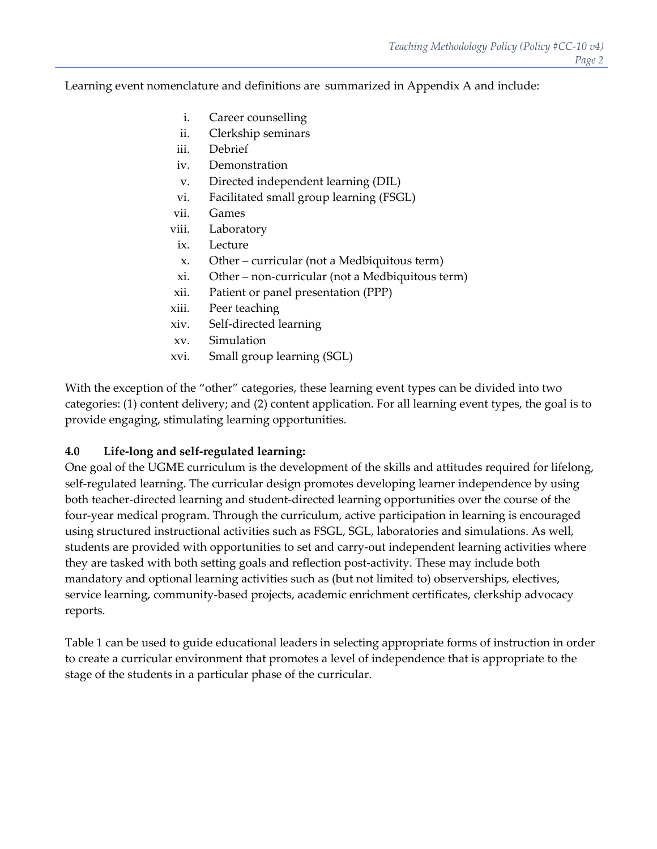Learning event nomenclature and definitions are summarized in Appendix A and include:

- i. Career counselling
- ii. Clerkship seminars
- iii. Debrief
- iv. Demonstration
- v. Directed independent learning (DIL)
- vi. Facilitated small group learning (FSGL)
- vii. Games
- viii. Laboratory
- ix. Lecture
- x. Other curricular (not a Medbiquitous term)
- xi. Other non‐curricular (not a Medbiquitous term)
- xii. Patient or panel presentation (PPP)
- xiii. Peer teaching
- xiv. Self‐directed learning
- xv. Simulation
- xvi. Small group learning (SGL)

With the exception of the "other" categories, these learning event types can be divided into two categories: (1) content delivery; and (2) content application. For all learning event types, the goal is to provide engaging, stimulating learning opportunities.

#### **4.0 Life‐long and self‐regulated learning:**

One goal of the UGME curriculum is the development of the skills and attitudes required for lifelong, self-regulated learning. The curricular design promotes developing learner independence by using both teacher-directed learning and student-directed learning opportunities over the course of the four-year medical program. Through the curriculum, active participation in learning is encouraged using structured instructional activities such as FSGL, SGL, laboratories and simulations. As well, students are provided with opportunities to set and carry‐out independent learning activities where they are tasked with both setting goals and reflection post‐activity. These may include both mandatory and optional learning activities such as (but not limited to) observerships, electives, service learning, community‐based projects, academic enrichment certificates, clerkship advocacy reports.

Table 1 can be used to guide educational leaders in selecting appropriate forms of instruction in order to create a curricular environment that promotes a level of independence that is appropriate to the stage of the students in a particular phase of the curricular.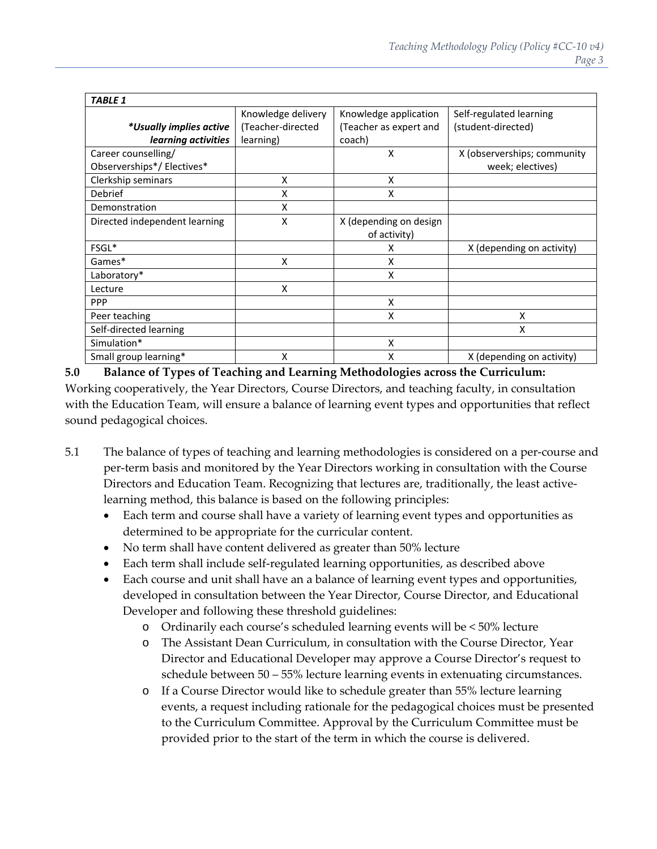| <b>TABLE 1</b>                |                    |                        |                             |
|-------------------------------|--------------------|------------------------|-----------------------------|
|                               | Knowledge delivery | Knowledge application  | Self-regulated learning     |
| *Usually implies active       | (Teacher-directed  | (Teacher as expert and | (student-directed)          |
| learning activities           | learning)          | coach)                 |                             |
| Career counselling/           |                    | X                      | X (observerships; community |
| Observerships*/Electives*     |                    |                        | week; electives)            |
| Clerkship seminars            | X                  | X                      |                             |
| Debrief                       | X                  | X                      |                             |
| Demonstration                 | X                  |                        |                             |
| Directed independent learning | X                  | X (depending on design |                             |
|                               |                    | of activity)           |                             |
| FSGL*                         |                    | x                      | X (depending on activity)   |
| Games*                        | x                  | x                      |                             |
| Laboratory*                   |                    | x                      |                             |
| Lecture                       | X                  |                        |                             |
| <b>PPP</b>                    |                    | X                      |                             |
| Peer teaching                 |                    | x                      | X                           |
| Self-directed learning        |                    |                        | X                           |
| Simulation*                   |                    | X                      |                             |
| Small group learning*         | x                  | Χ                      | X (depending on activity)   |

**5.0 Balance of Types of Teaching and Learning Methodologies across the Curriculum:** Working cooperatively, the Year Directors, Course Directors, and teaching faculty, in consultation with the Education Team, will ensure a balance of learning event types and opportunities that reflect sound pedagogical choices.

- 5.1 The balance of types of teaching and learning methodologies is considered on a per‐course and per‐term basis and monitored by the Year Directors working in consultation with the Course Directors and Education Team. Recognizing that lectures are, traditionally, the least active‐ learning method, this balance is based on the following principles:
	- Each term and course shall have a variety of learning event types and opportunities as determined to be appropriate for the curricular content.
	- No term shall have content delivered as greater than 50% lecture
	- Each term shall include self‐regulated learning opportunities, as described above
	- Each course and unit shall have an a balance of learning event types and opportunities, developed in consultation between the Year Director, Course Director, and Educational Developer and following these threshold guidelines:
		- o Ordinarily each course's scheduled learning events will be < 50% lecture
		- o The Assistant Dean Curriculum, in consultation with the Course Director, Year Director and Educational Developer may approve a Course Director's request to schedule between 50 – 55% lecture learning events in extenuating circumstances.
		- o If a Course Director would like to schedule greater than 55% lecture learning events, a request including rationale for the pedagogical choices must be presented to the Curriculum Committee. Approval by the Curriculum Committee must be provided prior to the start of the term in which the course is delivered.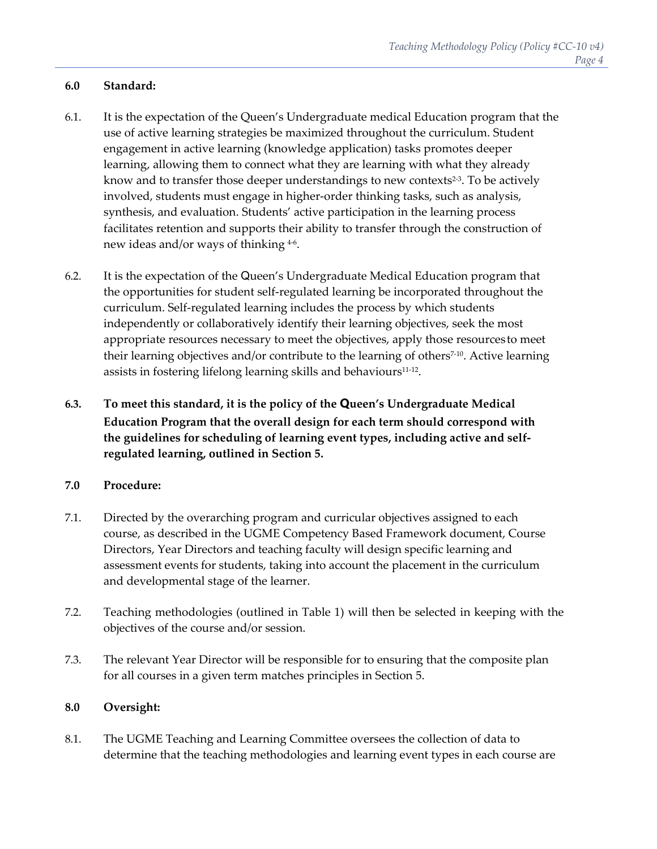#### **6.0 Standard:**

- 6.1. It is the expectation of the Queen's Undergraduate medical Education program that the use of active learning strategies be maximized throughout the curriculum. Student engagement in active learning (knowledge application) tasks promotes deeper learning, allowing them to connect what they are learning with what they already know and to transfer those deeper understandings to new contexts<sup>2-3</sup>. To be actively involved, students must engage in higher‐order thinking tasks, such as analysis, synthesis, and evaluation. Students' active participation in the learning process facilitates retention and supports their ability to transfer through the construction of new ideas and/or ways of thinking <sup>4</sup>‐6.
- 6.2. It is the expectation of the Queen's Undergraduate Medical Education program that the opportunities for student self‐regulated learning be incorporated throughout the curriculum. Self‐regulated learning includes the process by which students independently or collaboratively identify their learning objectives, seek the most appropriate resources necessary to meet the objectives, apply those resourcesto meet their learning objectives and/or contribute to the learning of others<sup> $7-10$ </sup>. Active learning assists in fostering lifelong learning skills and behaviours<sup>11-12</sup>.
- **6.3. To meet this standard, it is the policy of the Queen's Undergraduate Medical Education Program that the overall design for each term should correspond with the guidelines for scheduling of learning event types, including active and self‐ regulated learning, outlined in Section 5.**

#### **7.0 Procedure:**

- 7.1. Directed by the overarching program and curricular objectives assigned to each course, as described in the UGME Competency Based Framework document, Course Directors, Year Directors and teaching faculty will design specific learning and assessment events for students, taking into account the placement in the curriculum and developmental stage of the learner.
- 7.2. Teaching methodologies (outlined in Table 1) will then be selected in keeping with the objectives of the course and/or session.
- 7.3. The relevant Year Director will be responsible for to ensuring that the composite plan for all courses in a given term matches principles in Section 5.

#### **8.0 Oversight:**

8.1. The UGME Teaching and Learning Committee oversees the collection of data to determine that the teaching methodologies and learning event types in each course are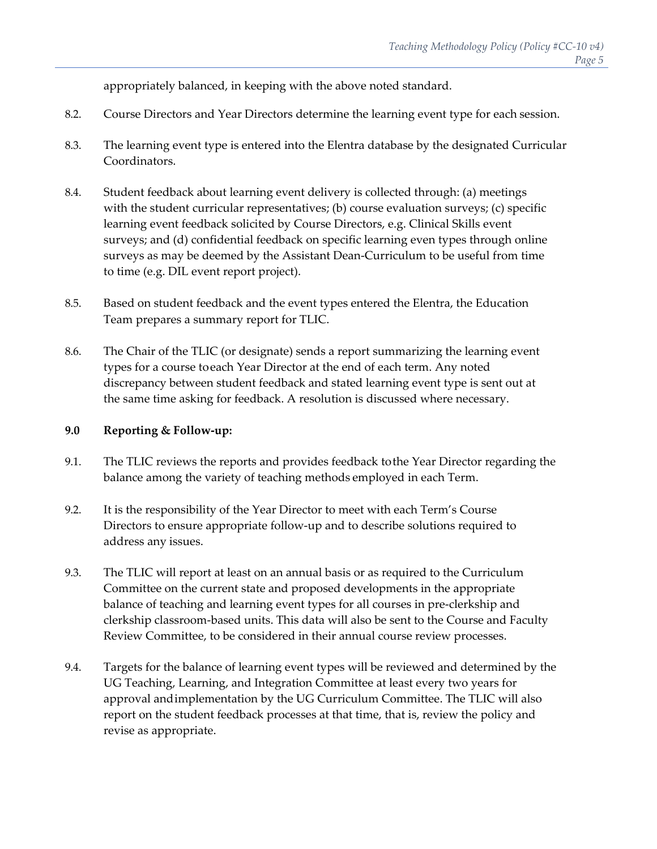appropriately balanced, in keeping with the above noted standard.

- 8.2. Course Directors and Year Directors determine the learning event type for each session.
- 8.3. The learning event type is entered into the Elentra database by the designated Curricular Coordinators.
- 8.4. Student feedback about learning event delivery is collected through: (a) meetings with the student curricular representatives; (b) course evaluation surveys; (c) specific learning event feedback solicited by Course Directors, e.g. Clinical Skills event surveys; and (d) confidential feedback on specific learning even types through online surveys as may be deemed by the Assistant Dean‐Curriculum to be useful from time to time (e.g. DIL event report project).
- 8.5. Based on student feedback and the event types entered the Elentra, the Education Team prepares a summary report for TLIC.
- 8.6. The Chair of the TLIC (or designate) sends a report summarizing the learning event types for a course toeach Year Director at the end of each term. Any noted discrepancy between student feedback and stated learning event type is sent out at the same time asking for feedback. A resolution is discussed where necessary.

#### **9.0 Reporting & Follow‐up:**

- 9.1. The TLIC reviews the reports and provides feedback tothe Year Director regarding the balance among the variety of teaching methods employed in each Term.
- 9.2. It is the responsibility of the Year Director to meet with each Term's Course Directors to ensure appropriate follow‐up and to describe solutions required to address any issues.
- 9.3. The TLIC will report at least on an annual basis or as required to the Curriculum Committee on the current state and proposed developments in the appropriate balance of teaching and learning event types for all courses in pre‐clerkship and clerkship classroom‐based units. This data will also be sent to the Course and Faculty Review Committee, to be considered in their annual course review processes.
- 9.4. Targets for the balance of learning event types will be reviewed and determined by the UG Teaching, Learning, and Integration Committee at least every two years for approval andimplementation by the UG Curriculum Committee. The TLIC will also report on the student feedback processes at that time, that is, review the policy and revise as appropriate.